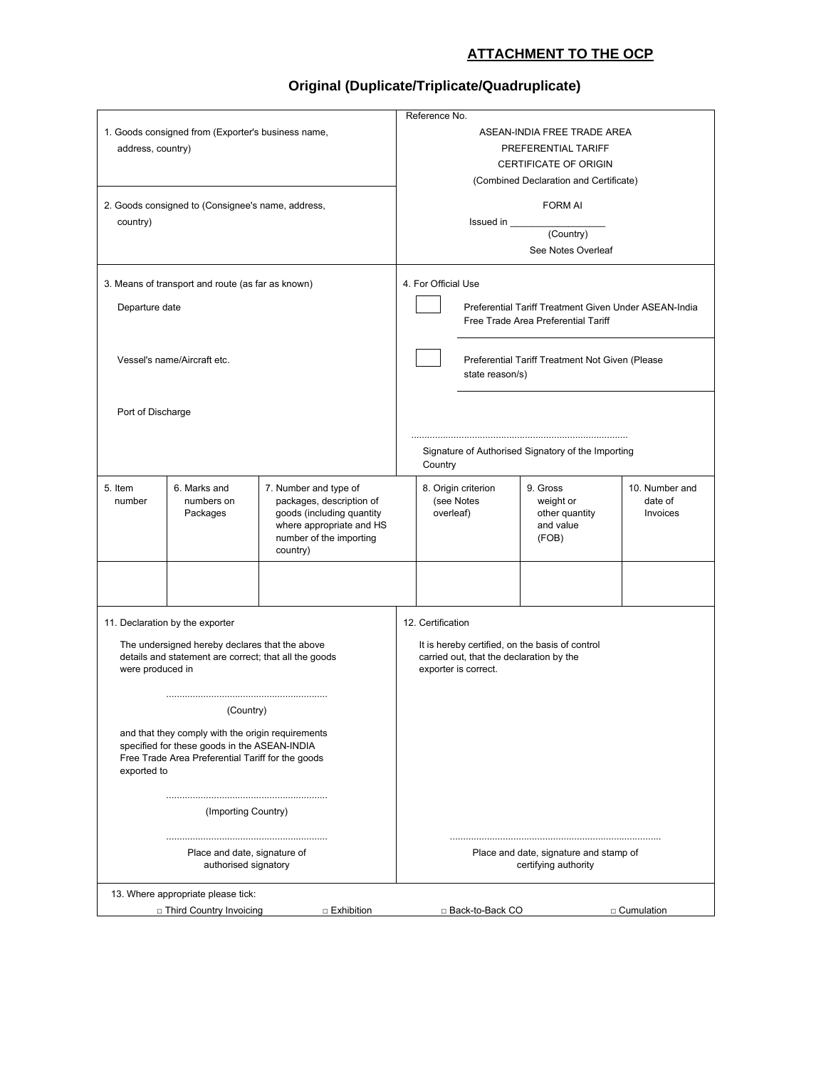## **ATTACHMENT TO THE OCP**

## **Original (Duplicate/Triplicate/Quadruplicate)**

|                                                                                                                                                                                    |                                        |                                                                                                                                                   |                                                               | Reference No.                                                                                                                            |                     |                                                               |                                              |
|------------------------------------------------------------------------------------------------------------------------------------------------------------------------------------|----------------------------------------|---------------------------------------------------------------------------------------------------------------------------------------------------|---------------------------------------------------------------|------------------------------------------------------------------------------------------------------------------------------------------|---------------------|---------------------------------------------------------------|----------------------------------------------|
| 1. Goods consigned from (Exporter's business name,<br>address, country)                                                                                                            |                                        |                                                                                                                                                   |                                                               | ASEAN-INDIA FREE TRADE AREA<br>PREFERENTIAL TARIFF<br><b>CERTIFICATE OF ORIGIN</b><br>(Combined Declaration and Certificate)             |                     |                                                               |                                              |
| 2. Goods consigned to (Consignee's name, address,<br>country)                                                                                                                      |                                        |                                                                                                                                                   | <b>FORM AI</b><br>See Notes Overleaf                          |                                                                                                                                          |                     |                                                               |                                              |
| 3. Means of transport and route (as far as known)<br>Departure date                                                                                                                |                                        |                                                                                                                                                   |                                                               | 4. For Official Use<br>Preferential Tariff Treatment Given Under ASEAN-India<br>Free Trade Area Preferential Tariff                      |                     |                                                               |                                              |
| Vessel's name/Aircraft etc.                                                                                                                                                        |                                        |                                                                                                                                                   |                                                               |                                                                                                                                          | state reason/s)     | Preferential Tariff Treatment Not Given (Please               |                                              |
| Port of Discharge                                                                                                                                                                  |                                        |                                                                                                                                                   | Signature of Authorised Signatory of the Importing<br>Country |                                                                                                                                          |                     |                                                               |                                              |
| 5. Item<br>number                                                                                                                                                                  | 6. Marks and<br>numbers on<br>Packages | 7. Number and type of<br>packages, description of<br>goods (including quantity<br>where appropriate and HS<br>number of the importing<br>country) |                                                               | (see Notes<br>overleaf)                                                                                                                  | 8. Origin criterion | 9. Gross<br>weight or<br>other quantity<br>and value<br>(FOB) | 10. Number and<br>date of<br><b>Invoices</b> |
|                                                                                                                                                                                    |                                        |                                                                                                                                                   |                                                               |                                                                                                                                          |                     |                                                               |                                              |
| 11. Declaration by the exporter<br>The undersigned hereby declares that the above<br>details and statement are correct; that all the goods<br>were produced in                     |                                        |                                                                                                                                                   |                                                               | 12. Certification<br>It is hereby certified, on the basis of control<br>carried out, that the declaration by the<br>exporter is correct. |                     |                                                               |                                              |
| (Country)<br>and that they comply with the origin requirements<br>specified for these goods in the ASEAN-INDIA<br>Free Trade Area Preferential Tariff for the goods<br>exported to |                                        |                                                                                                                                                   |                                                               |                                                                                                                                          |                     |                                                               |                                              |
| (Importing Country)                                                                                                                                                                |                                        |                                                                                                                                                   |                                                               |                                                                                                                                          |                     |                                                               |                                              |
| Place and date, signature of<br>authorised signatory                                                                                                                               |                                        |                                                                                                                                                   |                                                               | Place and date, signature and stamp of<br>certifying authority                                                                           |                     |                                                               |                                              |
|                                                                                                                                                                                    | 13. Where appropriate please tick:     |                                                                                                                                                   |                                                               |                                                                                                                                          |                     |                                                               |                                              |
| □ Third Country Invoicing<br>□ Exhibition                                                                                                                                          |                                        |                                                                                                                                                   |                                                               | □ Back-to-Back CO<br>□ Cumulation                                                                                                        |                     |                                                               |                                              |